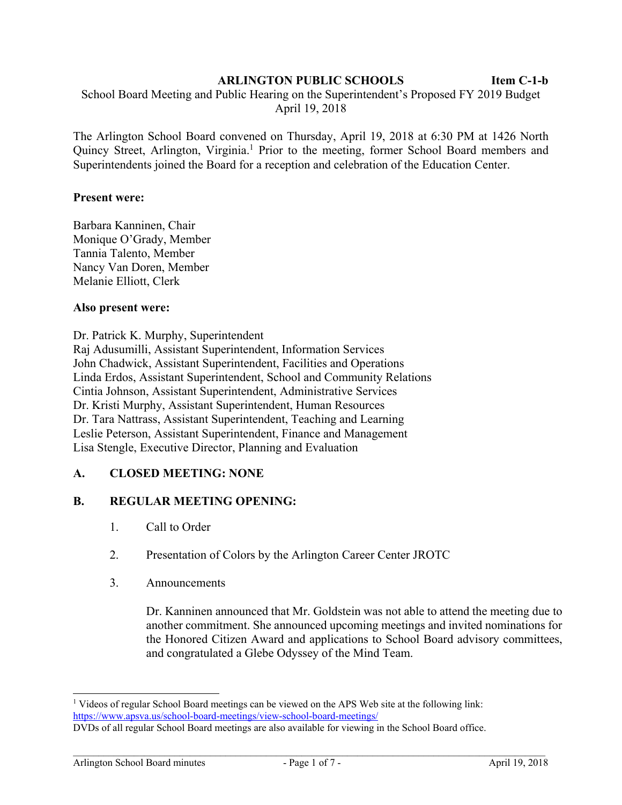#### **ARLINGTON PUBLIC SCHOOLS Item C-1-b**

 School Board Meeting and Public Hearing on the Superintendent's Proposed FY 2019 Budget April 19, 2018

The Arlington School Board convened on Thursday, April 19, 2018 at 6:30 PM at 1426 North Quincy Street, Arlington, Virginia.<sup>1</sup> Prior to the meeting, former School Board members and Superintendents joined the Board for a reception and celebration of the Education Center.

#### **Present were:**

Barbara Kanninen, Chair Monique O'Grady, Member Tannia Talento, Member Nancy Van Doren, Member Melanie Elliott, Clerk

#### **Also present were:**

Dr. Patrick K. Murphy, Superintendent Raj Adusumilli, Assistant Superintendent, Information Services John Chadwick, Assistant Superintendent, Facilities and Operations Linda Erdos, Assistant Superintendent, School and Community Relations Cintia Johnson, Assistant Superintendent, Administrative Services Dr. Kristi Murphy, Assistant Superintendent, Human Resources Dr. Tara Nattrass, Assistant Superintendent, Teaching and Learning Leslie Peterson, Assistant Superintendent, Finance and Management Lisa Stengle, Executive Director, Planning and Evaluation

# **A. CLOSED MEETING: NONE**

# **B. REGULAR MEETING OPENING:**

- 1. Call to Order
- 2. Presentation of Colors by the Arlington Career Center JROTC
- 3. Announcements

Dr. Kanninen announced that Mr. Goldstein was not able to attend the meeting due to another commitment. She announced upcoming meetings and invited nominations for the Honored Citizen Award and applications to School Board advisory committees, and congratulated a Glebe Odyssey of the Mind Team.

l <sup>1</sup> Videos of regular School Board meetings can be viewed on the APS Web site at the following link: https://www.apsva.us/school-board-meetings/view-school-board-meetings/

DVDs of all regular School Board meetings are also available for viewing in the School Board office.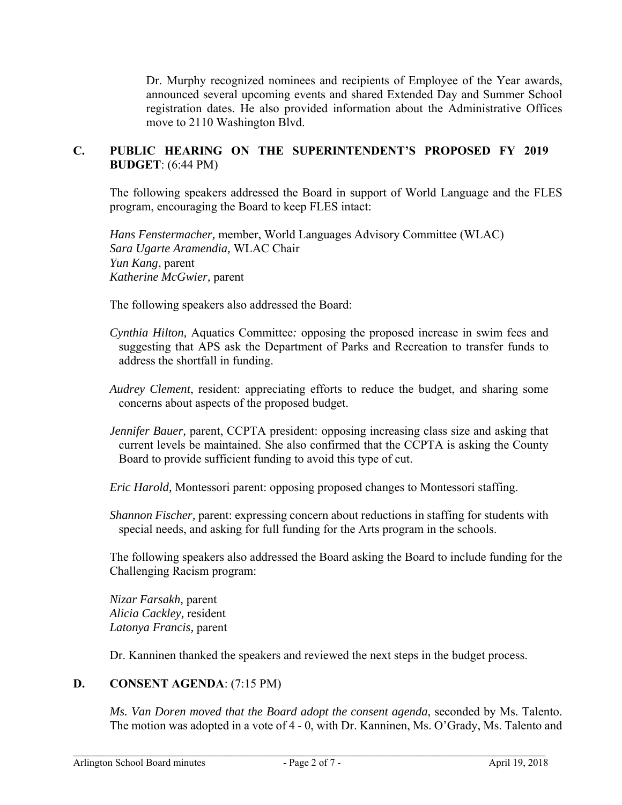Dr. Murphy recognized nominees and recipients of Employee of the Year awards, announced several upcoming events and shared Extended Day and Summer School registration dates. He also provided information about the Administrative Offices move to 2110 Washington Blvd.

# **C. PUBLIC HEARING ON THE SUPERINTENDENT'S PROPOSED FY 2019 BUDGET**: (6:44 PM)

The following speakers addressed the Board in support of World Language and the FLES program, encouraging the Board to keep FLES intact:

*Hans Fenstermacher,* member, World Languages Advisory Committee (WLAC) *Sara Ugarte Aramendia,* WLAC Chair *Yun Kang*, parent *Katherine McGwier,* parent

The following speakers also addressed the Board:

- *Cynthia Hilton,* Aquatics Committee*:* opposing the proposed increase in swim fees and suggesting that APS ask the Department of Parks and Recreation to transfer funds to address the shortfall in funding.
- *Audrey Clement*, resident: appreciating efforts to reduce the budget, and sharing some concerns about aspects of the proposed budget.
- *Jennifer Bauer,* parent, CCPTA president: opposing increasing class size and asking that current levels be maintained. She also confirmed that the CCPTA is asking the County Board to provide sufficient funding to avoid this type of cut.

*Eric Harold,* Montessori parent: opposing proposed changes to Montessori staffing.

*Shannon Fischer,* parent: expressing concern about reductions in staffing for students with special needs, and asking for full funding for the Arts program in the schools.

The following speakers also addressed the Board asking the Board to include funding for the Challenging Racism program:

*Nizar Farsakh,* parent *Alicia Cackley,* resident *Latonya Francis,* parent

Dr. Kanninen thanked the speakers and reviewed the next steps in the budget process.

# **D. CONSENT AGENDA**: (7:15 PM)

*Ms. Van Doren moved that the Board adopt the consent agenda*, seconded by Ms. Talento. The motion was adopted in a vote of 4 - 0, with Dr. Kanninen, Ms. O'Grady, Ms. Talento and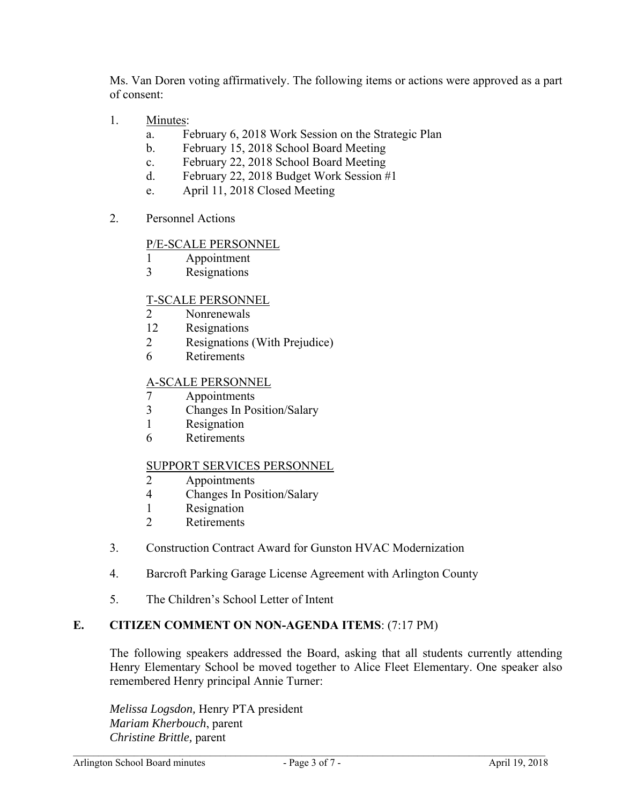Ms. Van Doren voting affirmatively. The following items or actions were approved as a part of consent:

- 1. Minutes:
	- a. February 6, 2018 Work Session on the Strategic Plan
	- b. February 15, 2018 School Board Meeting
	- c. February 22, 2018 School Board Meeting
	- d. February 22, 2018 Budget Work Session #1
	- e. April 11, 2018 Closed Meeting
- 2. Personnel Actions

### P/E-SCALE PERSONNEL

- 1 Appointment
- 3 Resignations

### T-SCALE PERSONNEL

- 2 Nonrenewals
- 12 Resignations
- 2 Resignations (With Prejudice)
- 6 Retirements

### A-SCALE PERSONNEL

- 7 Appointments
- 3 Changes In Position/Salary
- 1 Resignation
- 6 Retirements

#### SUPPORT SERVICES PERSONNEL

- 2 Appointments
- 4 Changes In Position/Salary
- 1 Resignation
- 2 Retirements
- 3. Construction Contract Award for Gunston HVAC Modernization
- 4. Barcroft Parking Garage License Agreement with Arlington County
- 5. The Children's School Letter of Intent

# **E. CITIZEN COMMENT ON NON-AGENDA ITEMS**: (7:17 PM)

The following speakers addressed the Board, asking that all students currently attending Henry Elementary School be moved together to Alice Fleet Elementary. One speaker also remembered Henry principal Annie Turner:

*Melissa Logsdon,* Henry PTA president *Mariam Kherbouch*, parent *Christine Brittle,* parent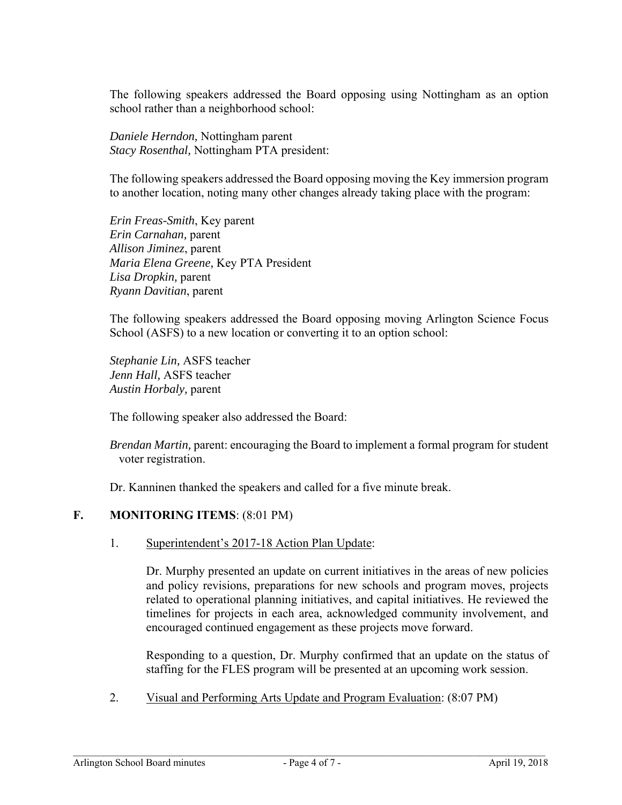The following speakers addressed the Board opposing using Nottingham as an option school rather than a neighborhood school:

*Daniele Herndon,* Nottingham parent *Stacy Rosenthal,* Nottingham PTA president:

The following speakers addressed the Board opposing moving the Key immersion program to another location, noting many other changes already taking place with the program:

*Erin Freas-Smith*, Key parent *Erin Carnahan,* parent *Allison Jiminez*, parent *Maria Elena Greene,* Key PTA President *Lisa Dropkin,* parent *Ryann Davitian*, parent

The following speakers addressed the Board opposing moving Arlington Science Focus School (ASFS) to a new location or converting it to an option school:

*Stephanie Lin,* ASFS teacher *Jenn Hall,* ASFS teacher *Austin Horbaly,* parent

The following speaker also addressed the Board:

*Brendan Martin,* parent: encouraging the Board to implement a formal program for student voter registration.

Dr. Kanninen thanked the speakers and called for a five minute break.

# **F. MONITORING ITEMS**: (8:01 PM)

1. Superintendent's 2017-18 Action Plan Update:

Dr. Murphy presented an update on current initiatives in the areas of new policies and policy revisions, preparations for new schools and program moves, projects related to operational planning initiatives, and capital initiatives. He reviewed the timelines for projects in each area, acknowledged community involvement, and encouraged continued engagement as these projects move forward.

Responding to a question, Dr. Murphy confirmed that an update on the status of staffing for the FLES program will be presented at an upcoming work session.

2. Visual and Performing Arts Update and Program Evaluation: (8:07 PM)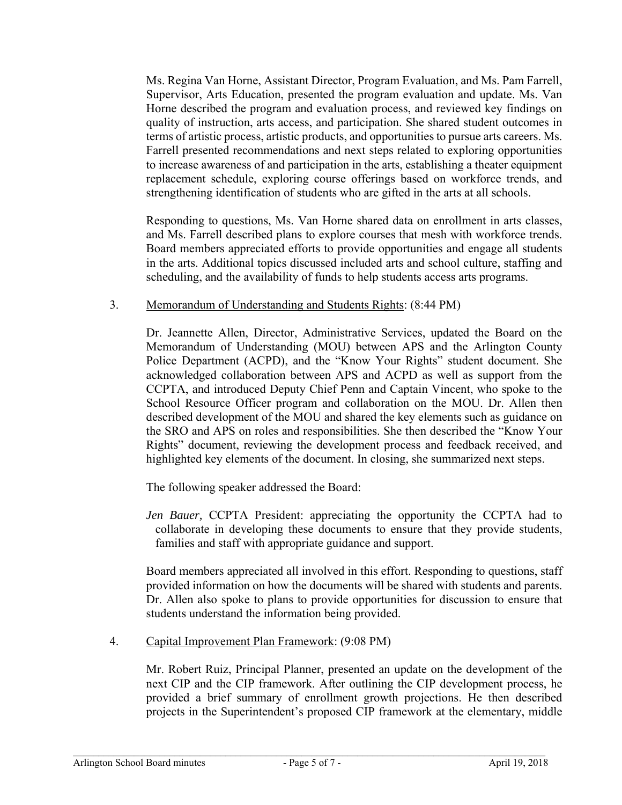Ms. Regina Van Horne, Assistant Director, Program Evaluation, and Ms. Pam Farrell, Supervisor, Arts Education, presented the program evaluation and update. Ms. Van Horne described the program and evaluation process, and reviewed key findings on quality of instruction, arts access, and participation. She shared student outcomes in terms of artistic process, artistic products, and opportunities to pursue arts careers. Ms. Farrell presented recommendations and next steps related to exploring opportunities to increase awareness of and participation in the arts, establishing a theater equipment replacement schedule, exploring course offerings based on workforce trends, and strengthening identification of students who are gifted in the arts at all schools.

Responding to questions, Ms. Van Horne shared data on enrollment in arts classes, and Ms. Farrell described plans to explore courses that mesh with workforce trends. Board members appreciated efforts to provide opportunities and engage all students in the arts. Additional topics discussed included arts and school culture, staffing and scheduling, and the availability of funds to help students access arts programs.

### 3. Memorandum of Understanding and Students Rights: (8:44 PM)

Dr. Jeannette Allen, Director, Administrative Services, updated the Board on the Memorandum of Understanding (MOU) between APS and the Arlington County Police Department (ACPD), and the "Know Your Rights" student document. She acknowledged collaboration between APS and ACPD as well as support from the CCPTA, and introduced Deputy Chief Penn and Captain Vincent, who spoke to the School Resource Officer program and collaboration on the MOU. Dr. Allen then described development of the MOU and shared the key elements such as guidance on the SRO and APS on roles and responsibilities. She then described the "Know Your Rights" document, reviewing the development process and feedback received, and highlighted key elements of the document. In closing, she summarized next steps.

The following speaker addressed the Board:

*Jen Bauer,* CCPTA President: appreciating the opportunity the CCPTA had to collaborate in developing these documents to ensure that they provide students, families and staff with appropriate guidance and support.

Board members appreciated all involved in this effort. Responding to questions, staff provided information on how the documents will be shared with students and parents. Dr. Allen also spoke to plans to provide opportunities for discussion to ensure that students understand the information being provided.

4. Capital Improvement Plan Framework: (9:08 PM)

Mr. Robert Ruiz, Principal Planner, presented an update on the development of the next CIP and the CIP framework. After outlining the CIP development process, he provided a brief summary of enrollment growth projections. He then described projects in the Superintendent's proposed CIP framework at the elementary, middle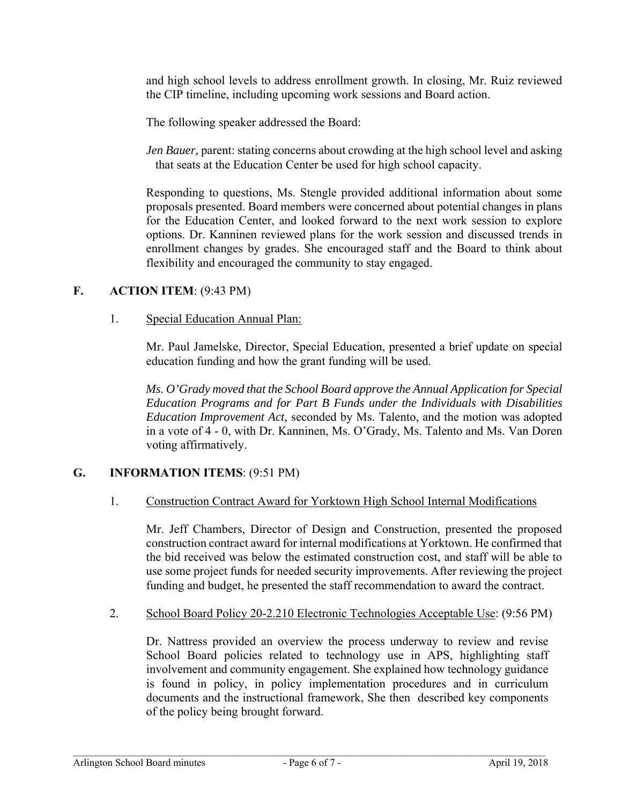and high school levels to address enrollment growth. In closing, Mr. Ruiz reviewed the CIP timeline, including upcoming work sessions and Board action.

The following speaker addressed the Board:

*Jen Bauer, parent: stating concerns about crowding at the high school level and asking* that seats at the Education Center be used for high school capacity.

Responding to questions, Ms. Stengle provided additional information about some proposals presented. Board members were concerned about potential changes in plans for the Education Center, and looked forward to the next work session to explore options. Dr. Kanninen reviewed plans for the work session and discussed trends in enrollment changes by grades. She encouraged staff and the Board to think about flexibility and encouraged the community to stay engaged.

### **F. ACTION ITEM**: (9:43 PM)

#### 1. Special Education Annual Plan:

Mr. Paul Jamelske, Director, Special Education, presented a brief update on special education funding and how the grant funding will be used.

*Ms. O'Grady moved that the School Board approve the Annual Application for Special Education Programs and for Part B Funds under the Individuals with Disabilities Education Improvement Act,* seconded by Ms. Talento, and the motion was adopted in a vote of 4 - 0, with Dr. Kanninen, Ms. O'Grady, Ms. Talento and Ms. Van Doren voting affirmatively.

# **G. INFORMATION ITEMS**: (9:51 PM)

#### 1. Construction Contract Award for Yorktown High School Internal Modifications

Mr. Jeff Chambers, Director of Design and Construction, presented the proposed construction contract award for internal modifications at Yorktown. He confirmed that the bid received was below the estimated construction cost, and staff will be able to use some project funds for needed security improvements. After reviewing the project funding and budget, he presented the staff recommendation to award the contract.

#### 2. School Board Policy 20-2.210 Electronic Technologies Acceptable Use: (9:56 PM)

Dr. Nattress provided an overview the process underway to review and revise School Board policies related to technology use in APS, highlighting staff involvement and community engagement. She explained how technology guidance is found in policy, in policy implementation procedures and in curriculum documents and the instructional framework, She then described key components of the policy being brought forward.